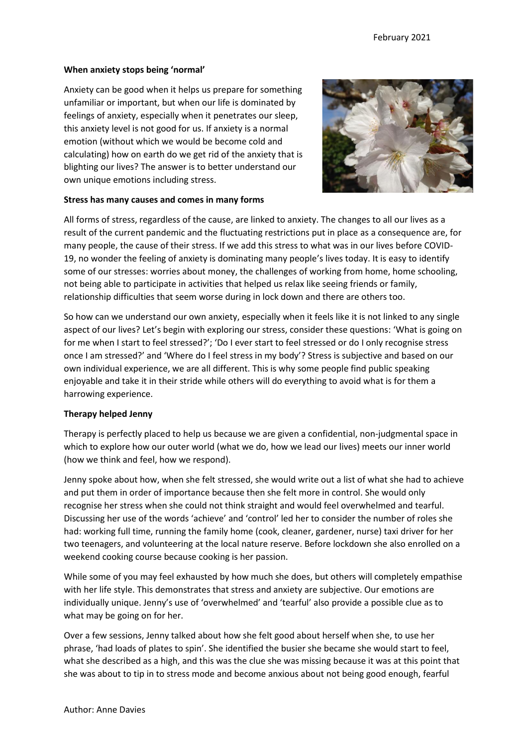# **When anxiety stops being 'normal'**

Anxiety can be good when it helps us prepare for something unfamiliar or important, but when our life is dominated by feelings of anxiety, especially when it penetrates our sleep, this anxiety level is not good for us. If anxiety is a normal emotion (without which we would be become cold and calculating) how on earth do we get rid of the anxiety that is blighting our lives? The answer is to better understand our own unique emotions including stress.



### **Stress has many causes and comes in many forms**

All forms of stress, regardless of the cause, are linked to anxiety. The changes to all our lives as a result of the current pandemic and the fluctuating restrictions put in place as a consequence are, for many people, the cause of their stress. If we add this stress to what was in our lives before COVID-19, no wonder the feeling of anxiety is dominating many people's lives today. It is easy to identify some of our stresses: worries about money, the challenges of working from home, home schooling, not being able to participate in activities that helped us relax like seeing friends or family, relationship difficulties that seem worse during in lock down and there are others too.

So how can we understand our own anxiety, especially when it feels like it is not linked to any single aspect of our lives? Let's begin with exploring our stress, consider these questions: 'What is going on for me when I start to feel stressed?'; 'Do I ever start to feel stressed or do I only recognise stress once I am stressed?' and 'Where do I feel stress in my body'? Stress is subjective and based on our own individual experience, we are all different. This is why some people find public speaking enjoyable and take it in their stride while others will do everything to avoid what is for them a harrowing experience.

# **Therapy helped Jenny**

Therapy is perfectly placed to help us because we are given a confidential, non-judgmental space in which to explore how our outer world (what we do, how we lead our lives) meets our inner world (how we think and feel, how we respond).

Jenny spoke about how, when she felt stressed, she would write out a list of what she had to achieve and put them in order of importance because then she felt more in control. She would only recognise her stress when she could not think straight and would feel overwhelmed and tearful. Discussing her use of the words 'achieve' and 'control' led her to consider the number of roles she had: working full time, running the family home (cook, cleaner, gardener, nurse) taxi driver for her two teenagers, and volunteering at the local nature reserve. Before lockdown she also enrolled on a weekend cooking course because cooking is her passion.

While some of you may feel exhausted by how much she does, but others will completely empathise with her life style. This demonstrates that stress and anxiety are subjective. Our emotions are individually unique. Jenny's use of 'overwhelmed' and 'tearful' also provide a possible clue as to what may be going on for her.

Over a few sessions, Jenny talked about how she felt good about herself when she, to use her phrase, 'had loads of plates to spin'. She identified the busier she became she would start to feel, what she described as a high, and this was the clue she was missing because it was at this point that she was about to tip in to stress mode and become anxious about not being good enough, fearful